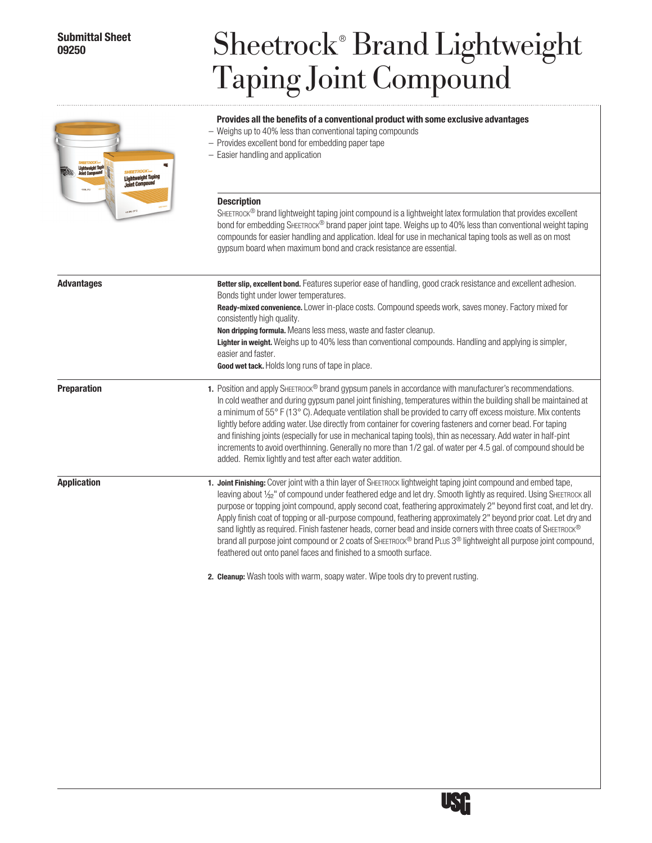## **Submittal Sheet 09250**

# Sheetrock® Brand Lightweight Taping Joint Compound

#### **Provides all the benefits of a conventional product with some exclusive advantages**

- Weighs up to 40% less than conventional taping compounds
- Provides excellent bond for embedding paper tape
- Easier handling and application

| htweight Tapi<br><b>HEETROCK</b><br><b>Lightweight Taping</b><br><b>Joint Compound</b><br>4.5 GAL (171) | — Easier nandling and application<br><b>Description</b><br>SHEETROCK® brand lightweight taping joint compound is a lightweight latex formulation that provides excellent<br>bond for embedding SHEETROCK® brand paper joint tape. Weighs up to 40% less than conventional weight taping<br>compounds for easier handling and application. Ideal for use in mechanical taping tools as well as on most<br>gypsum board when maximum bond and crack resistance are essential.                                                                                                                                                                                                                                                                                                                          |
|---------------------------------------------------------------------------------------------------------|------------------------------------------------------------------------------------------------------------------------------------------------------------------------------------------------------------------------------------------------------------------------------------------------------------------------------------------------------------------------------------------------------------------------------------------------------------------------------------------------------------------------------------------------------------------------------------------------------------------------------------------------------------------------------------------------------------------------------------------------------------------------------------------------------|
| <b>Advantages</b>                                                                                       | Better slip, excellent bond. Features superior ease of handling, good crack resistance and excellent adhesion.<br>Bonds tight under lower temperatures.<br>Ready-mixed convenience. Lower in-place costs. Compound speeds work, saves money. Factory mixed for<br>consistently high quality.<br>Non dripping formula. Means less mess, waste and faster cleanup.<br>Lighter in weight. Weighs up to 40% less than conventional compounds. Handling and applying is simpler,<br>easier and faster.<br>Good wet tack. Holds long runs of tape in place.                                                                                                                                                                                                                                                |
| <b>Preparation</b>                                                                                      | 1. Position and apply SHEETROCK <sup>®</sup> brand gypsum panels in accordance with manufacturer's recommendations.<br>In cold weather and during gypsum panel joint finishing, temperatures within the building shall be maintained at<br>a minimum of 55° F (13° C). Adequate ventilation shall be provided to carry off excess moisture. Mix contents<br>lightly before adding water. Use directly from container for covering fasteners and corner bead. For taping<br>and finishing joints (especially for use in mechanical taping tools), thin as necessary. Add water in half-pint<br>increments to avoid overthinning. Generally no more than 1/2 gal. of water per 4.5 gal. of compound should be<br>added. Remix lightly and test after each water addition.                              |
| <b>Application</b>                                                                                      | 1. Joint Finishing: Cover joint with a thin layer of SHEETROCK lightweight taping joint compound and embed tape,<br>leaving about 1/ <sub>32</sub> " of compound under feathered edge and let dry. Smooth lightly as required. Using SHEETROCK all<br>purpose or topping joint compound, apply second coat, feathering approximately 2" beyond first coat, and let dry.<br>Apply finish coat of topping or all-purpose compound, feathering approximately 2" beyond prior coat. Let dry and<br>sand lightly as required. Finish fastener heads, corner bead and inside corners with three coats of SHEETROCK®<br>brand all purpose joint compound or 2 coats of SHEETROCK® brand PLUS 3® lightweight all purpose joint compound,<br>feathered out onto panel faces and finished to a smooth surface. |

**Cleanup:** Wash tools with warm, soapy water. Wipe tools dry to prevent rusting. **2.**